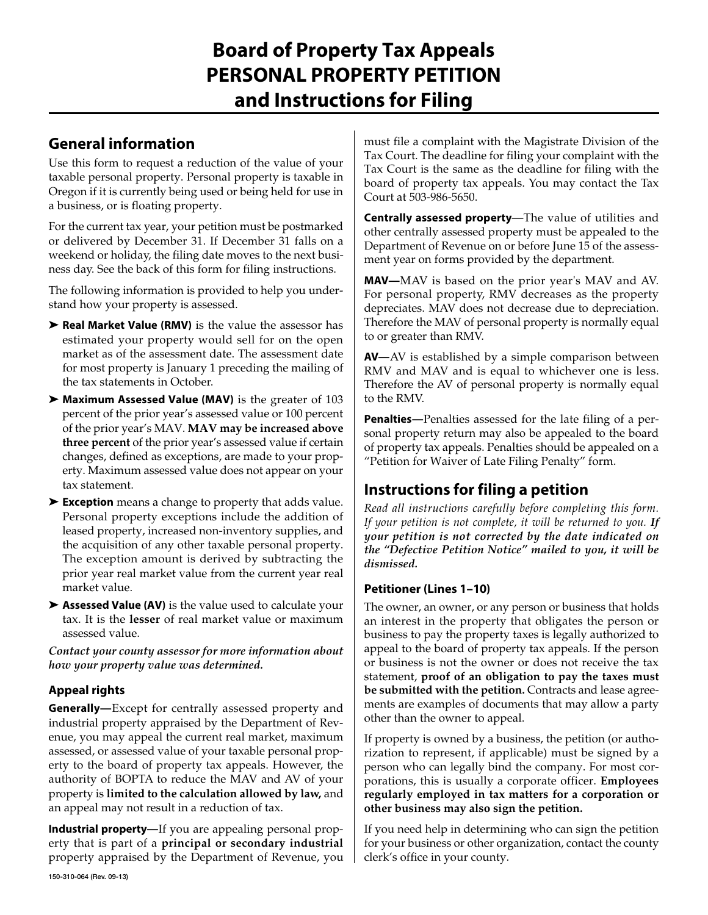# **Board of Property Tax Appeals PERSONAL PROPERTY PETITION and Instructions for Filing**

### **General information**

Use this form to request a reduction of the value of your taxable personal property. Personal property is taxable in Oregon if it is currently being used or being held for use in a business, or is floating property.

For the current tax year, your petition must be postmarked or delivered by December 31. If December 31 falls on a weekend or holiday, the filing date moves to the next business day. See the back of this form for filing instructions.

The following information is provided to help you understand how your property is assessed.

- ➤ **Real Market Value (RMV)** is the value the assessor has estimated your property would sell for on the open market as of the assessment date. The assessment date for most property is January 1 preceding the mailing of the tax statements in October.
- ➤ **Maximum Assessed Value (MAV)** is the greater of 103 percent of the prior year's assessed value or 100 percent of the prior year's MAV. **MAV may be increased above three percent** of the prior year's assessed value if certain changes, defined as exceptions, are made to your property. Maximum assessed value does not appear on your tax statement.
- ➤ **Exception** means a change to property that adds value. Personal property exceptions include the addition of leased property, increased non-inventory supplies, and the acquisition of any other taxable personal property. The exception amount is derived by subtracting the prior year real market value from the current year real market value.
- ➤ **Assessed Value (AV)** is the value used to calculate your tax. It is the **lesser** of real market value or maximum assessed value.

*Contact your county assessor for more information about how your property value was determined.*

### **Appeal rights**

**Generally—**Except for centrally assessed property and industrial property appraised by the Department of Revenue, you may appeal the current real market, maximum assessed, or assessed value of your taxable personal property to the board of property tax appeals. However, the authority of BOPTA to reduce the MAV and AV of your property is **limited to the calculation allowed by law,** and an appeal may not result in a reduction of tax.

**Industrial property—**If you are appealing personal property that is part of a **principal or secondary industrial**  property appraised by the Department of Revenue, you must file a complaint with the Magistrate Division of the Tax Court. The deadline for filing your complaint with the Tax Court is the same as the deadline for filing with the board of property tax appeals. You may contact the Tax Court at 503-986-5650.

**Centrally assessed property**—The value of utilities and other centrally assessed property must be appealed to the Department of Revenue on or before June 15 of the assessment year on forms provided by the department.

**MAV—**MAV is based on the prior year's MAV and AV. For personal property, RMV decreases as the property depreciates. MAV does not decrease due to depreciation. Therefore the MAV of personal property is normally equal to or greater than RMV.

**AV—**AV is established by a simple comparison between RMV and MAV and is equal to whichever one is less. Therefore the AV of personal property is normally equal to the RMV.

**Penalties—**Penalties assessed for the late filing of a personal property return may also be appealed to the board of property tax appeals. Penalties should be appealed on a "Petition for Waiver of Late Filing Penalty" form.

## **Instructions for filing a petition**

*Read all instructions carefully before completing this form. If your petition is not complete, it will be returned to you. If your petition is not corrected by the date indicated on the "Defective Petition Notice" mailed to you, it will be dismissed.*

### **Petitioner (Lines 1–10)**

The owner, an owner, or any person or business that holds an interest in the property that obligates the person or business to pay the property taxes is legally authorized to appeal to the board of property tax appeals. If the person or business is not the owner or does not receive the tax statement, **proof of an obligation to pay the taxes must be submitted with the petition.** Contracts and lease agreements are examples of documents that may allow a party other than the owner to appeal.

If property is owned by a business, the petition (or authorization to represent, if applicable) must be signed by a person who can legally bind the company. For most corporations, this is usually a corporate officer. **Employees regularly employed in tax matters for a corporation or other business may also sign the petition.**

If you need help in determining who can sign the petition for your business or other organization, contact the county clerk's office in your county.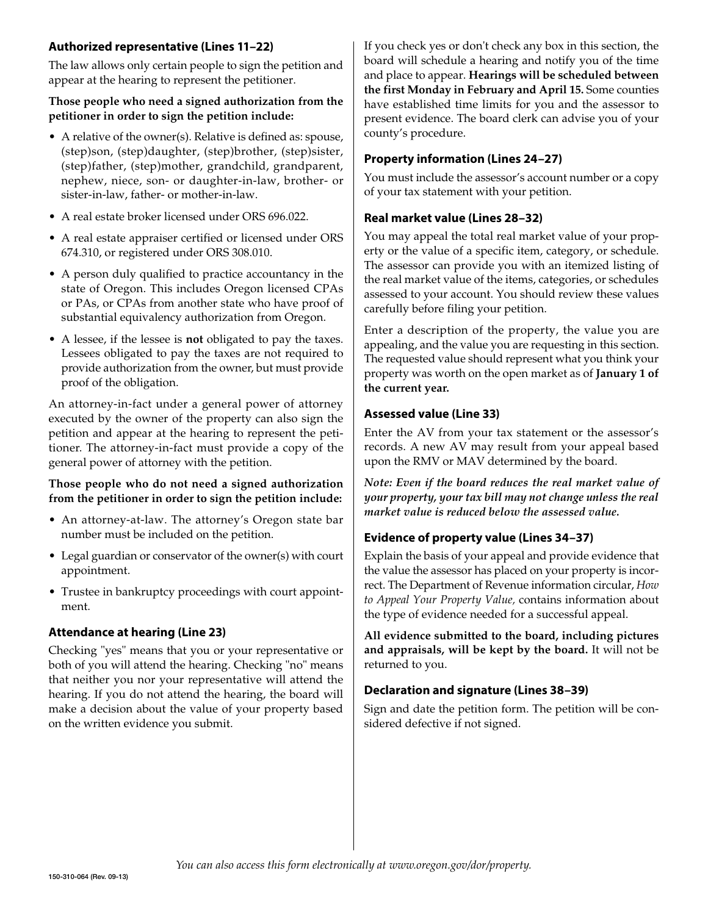#### **Authorized representative (Lines 11–22)**

The law allows only certain people to sign the petition and appear at the hearing to represent the petitioner.

#### **Those people who need a signed authorization from the petitioner in order to sign the petition include:**

- $\bullet$  A relative of the owner(s). Relative is defined as: spouse, (step)son, (step)daughter, (step)brother, (step)sister, (step)father, (step)mother, grandchild, grandparent, nephew, niece, son- or daughter-in-law, brother- or sister-in-law, father- or mother-in-law.
- A real estate broker licensed under ORS 696.022.
- A real estate appraiser certified or licensed under ORS 674.310, or registered under ORS 308.010.
- A person duly qualified to practice accountancy in the state of Oregon. This includes Oregon licensed CPAs or PAs, or CPAs from another state who have proof of substantial equivalency authorization from Oregon.
- • A lessee, if the lessee is **not** obligated to pay the taxes. Lessees obligated to pay the taxes are not required to provide authorization from the owner, but must provide proof of the obligation.

An attorney-in-fact under a general power of attorney executed by the owner of the property can also sign the petition and appear at the hearing to represent the petitioner. The attorney-in-fact must provide a copy of the general power of attorney with the petition.

#### **Those people who do not need a signed authorization from the petitioner in order to sign the petition include:**

- An attorney-at-law. The attorney's Oregon state bar number must be included on the petition.
- Legal guardian or conservator of the owner(s) with court appointment.
- Trustee in bankruptcy proceedings with court appointment.

### **Attendance at hearing (Line 23)**

Checking "yes" means that you or your representative or both of you will attend the hearing. Checking "no" means that neither you nor your representative will attend the hearing. If you do not attend the hearing, the board will make a decision about the value of your property based on the written evidence you submit.

If you check yes or don't check any box in this section, the board will schedule a hearing and notify you of the time and place to appear. **Hearings will be scheduled between the first Monday in February and April 15.** Some counties have established time limits for you and the assessor to present evidence. The board clerk can advise you of your county's procedure.

#### **Property information (Lines 24–27)**

You must include the assessor's account number or a copy of your tax statement with your petition.

#### **Real market value (Lines 28–32)**

You may appeal the total real market value of your property or the value of a specific item, category, or schedule. The assessor can provide you with an itemized listing of the real market value of the items, categories, or schedules assessed to your account. You should review these values carefully before filing your petition.

Enter a description of the property, the value you are appealing, and the value you are requesting in this section. The requested value should represent what you think your property was worth on the open market as of **January 1 of the current year.**

#### **Assessed value (Line 33)**

Enter the AV from your tax statement or the assessor's records. A new AV may result from your appeal based upon the RMV or MAV determined by the board.

*Note: Even if the board reduces the real market value of your property, your tax bill may not change unless the real market value is reduced below the assessed value.*

### **Evidence of property value (Lines 34–37)**

Explain the basis of your appeal and provide evidence that the value the assessor has placed on your property is incorrect. The Department of Revenue information circular, *How to Appeal Your Property Value,* contains information about the type of evidence needed for a successful appeal.

**All evidence submitted to the board, including pictures and appraisals, will be kept by the board.** It will not be returned to you.

#### **Declaration and signature (Lines 38–39)**

Sign and date the petition form. The petition will be considered defective if not signed.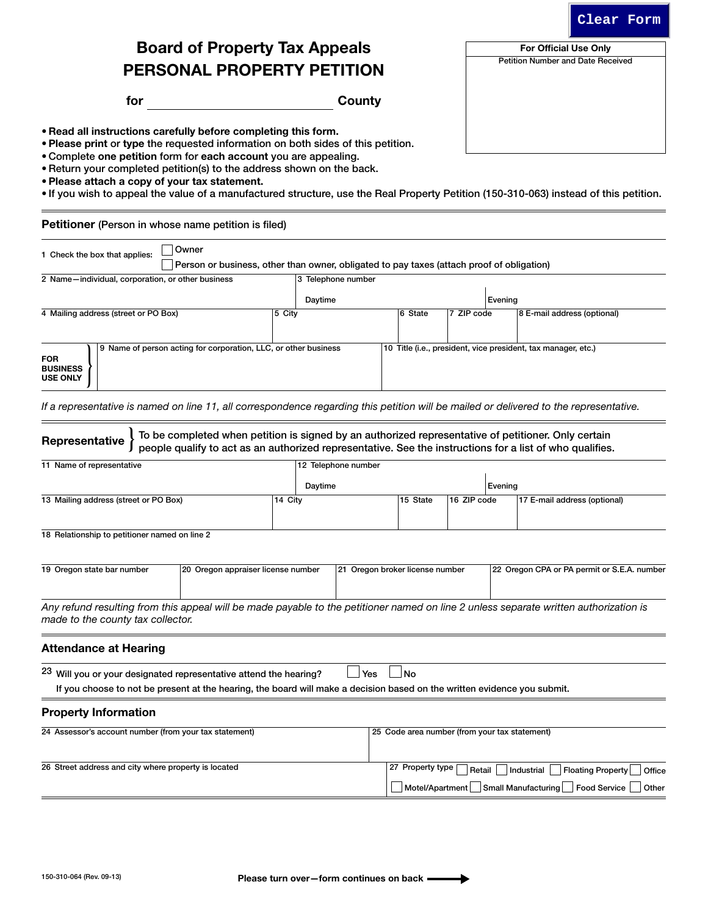For Official Use Only Petition Number and Date Received

# Board of Property Tax Appeals PERSONAL PROPERTY PETITION

for County

• Read all instructions carefully before completing this form.

• Please print or type the requested information on both sides of this petition.

• Complete one petition form for each account you are appealing.

- Return your completed petition(s) to the address shown on the back.
- • Please attach a copy of your tax statement.
- • If you wish to appeal the value of a manufactured structure, use the Real Property Petition (150-310-063) instead of this petition.

Petitioner (Person in whose name petition is filed)

| 1 Check the box that applies:                     |     |  | <b>Owner</b> |                                                               |         | Person or business, other than owner, obligated to pay taxes (attach proof of obligation) |  |                             |         |                                                               |  |
|---------------------------------------------------|-----|--|--------------|---------------------------------------------------------------|---------|-------------------------------------------------------------------------------------------|--|-----------------------------|---------|---------------------------------------------------------------|--|
| 2 Name-individual, corporation, or other business |     |  |              |                                                               |         | 3 Telephone number                                                                        |  |                             |         |                                                               |  |
|                                                   |     |  |              |                                                               |         | Daytime                                                                                   |  |                             | Evenina |                                                               |  |
| 5 City<br>4 Mailing address (street or PO Box)    |     |  |              |                                                               | 6 State | 7 ZIP code                                                                                |  | 8 E-mail address (optional) |         |                                                               |  |
| <b>FOR</b><br><b>BUSINESS</b><br><b>USE ONLY</b>  | و ا |  |              | Name of person acting for corporation, LLC, or other business |         |                                                                                           |  |                             |         | 10 Title (i.e., president, vice president, tax manager, etc.) |  |
|                                                   |     |  |              |                                                               |         |                                                                                           |  |                             |         |                                                               |  |

*If a representative is named on line 11, all correspondence regarding this petition will be mailed or delivered to the representative.*

| Representative                                                                                                                                                                                             | To be completed when petition is signed by an authorized representative of petitioner. Only certain<br>people qualify to act as an authorized representative. See the instructions for a list of who qualifies. |         |                                 |                  |             |                                                     |                                                                    |
|------------------------------------------------------------------------------------------------------------------------------------------------------------------------------------------------------------|-----------------------------------------------------------------------------------------------------------------------------------------------------------------------------------------------------------------|---------|---------------------------------|------------------|-------------|-----------------------------------------------------|--------------------------------------------------------------------|
| 11 Name of representative                                                                                                                                                                                  |                                                                                                                                                                                                                 |         | 12 Telephone number             |                  |             |                                                     |                                                                    |
|                                                                                                                                                                                                            |                                                                                                                                                                                                                 |         |                                 |                  |             |                                                     |                                                                    |
|                                                                                                                                                                                                            |                                                                                                                                                                                                                 | Daytime |                                 |                  |             | Evening                                             |                                                                    |
| 13 Mailing address (street or PO Box)                                                                                                                                                                      | 14 City                                                                                                                                                                                                         |         |                                 | 15 State         | 16 ZIP code |                                                     | 17 E-mail address (optional)                                       |
| 18 Relationship to petitioner named on line 2                                                                                                                                                              |                                                                                                                                                                                                                 |         |                                 |                  |             |                                                     |                                                                    |
| 19 Oregon state bar number                                                                                                                                                                                 | 20 Oregon appraiser license number                                                                                                                                                                              |         | 21 Oregon broker license number |                  |             |                                                     | 22 Oregon CPA or PA permit or S.E.A. number                        |
| Any refund resulting from this appeal will be made payable to the petitioner named on line 2 unless separate written authorization is<br>made to the county tax collector.<br><b>Attendance at Hearing</b> |                                                                                                                                                                                                                 |         |                                 |                  |             |                                                     |                                                                    |
| <sup>23</sup> Will you or your designated representative attend the hearing?<br>If you choose to not be present at the hearing, the board will make a decision based on the written evidence you submit.   |                                                                                                                                                                                                                 |         | <b>Yes</b>                      | <b>No</b>        |             |                                                     |                                                                    |
| <b>Property Information</b>                                                                                                                                                                                |                                                                                                                                                                                                                 |         |                                 |                  |             |                                                     |                                                                    |
| 24 Assessor's account number (from your tax statement)                                                                                                                                                     |                                                                                                                                                                                                                 |         |                                 |                  |             | 25 Code area number (from your tax statement)       |                                                                    |
| 26 Street address and city where property is located                                                                                                                                                       |                                                                                                                                                                                                                 |         |                                 | 27 Property type | Retail      | Industrial<br>Motel/Apartment   Small Manufacturing | <b>Floating Property</b><br>Office<br><b>Food Service</b><br>Other |